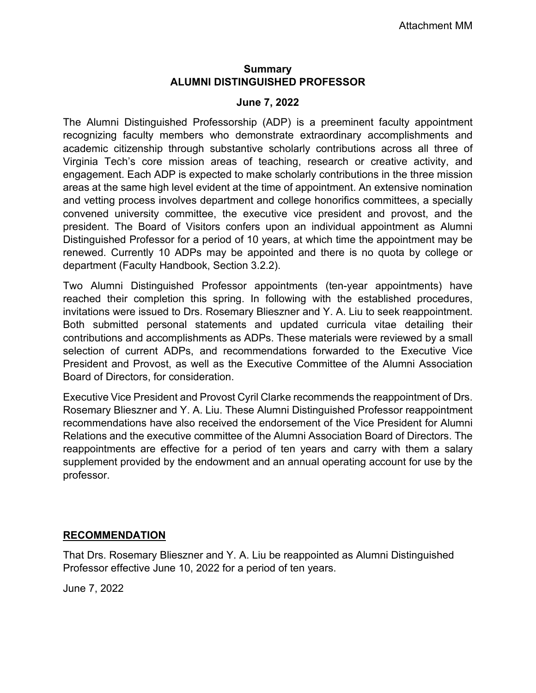### **Summary ALUMNI DISTINGUISHED PROFESSOR**

#### **June 7, 2022**

The Alumni Distinguished Professorship (ADP) is a preeminent faculty appointment recognizing faculty members who demonstrate extraordinary accomplishments and academic citizenship through substantive scholarly contributions across all three of Virginia Tech's core mission areas of teaching, research or creative activity, and engagement. Each ADP is expected to make scholarly contributions in the three mission areas at the same high level evident at the time of appointment. An extensive nomination and vetting process involves department and college honorifics committees, a specially convened university committee, the executive vice president and provost, and the president. The Board of Visitors confers upon an individual appointment as Alumni Distinguished Professor for a period of 10 years, at which time the appointment may be renewed. Currently 10 ADPs may be appointed and there is no quota by college or department (Faculty Handbook, Section 3.2.2).

Two Alumni Distinguished Professor appointments (ten-year appointments) have reached their completion this spring. In following with the established procedures, invitations were issued to Drs. Rosemary Blieszner and Y. A. Liu to seek reappointment. Both submitted personal statements and updated curricula vitae detailing their contributions and accomplishments as ADPs. These materials were reviewed by a small selection of current ADPs, and recommendations forwarded to the Executive Vice President and Provost, as well as the Executive Committee of the Alumni Association Board of Directors, for consideration.

Executive Vice President and Provost Cyril Clarke recommends the reappointment of Drs. Rosemary Blieszner and Y. A. Liu. These Alumni Distinguished Professor reappointment recommendations have also received the endorsement of the Vice President for Alumni Relations and the executive committee of the Alumni Association Board of Directors. The reappointments are effective for a period of ten years and carry with them a salary supplement provided by the endowment and an annual operating account for use by the professor.

#### **RECOMMENDATION**

That Drs. Rosemary Blieszner and Y. A. Liu be reappointed as Alumni Distinguished Professor effective June 10, 2022 for a period of ten years.

June 7, 2022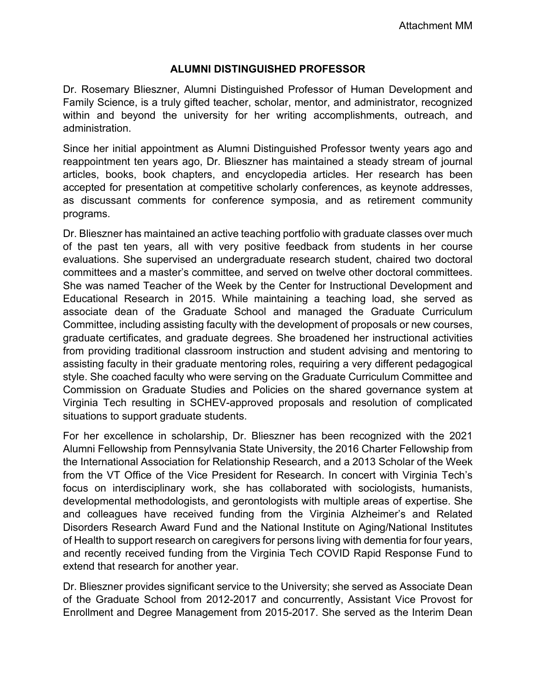# **ALUMNI DISTINGUISHED PROFESSOR**

Dr. Rosemary Blieszner, Alumni Distinguished Professor of Human Development and Family Science, is a truly gifted teacher, scholar, mentor, and administrator, recognized within and beyond the university for her writing accomplishments, outreach, and administration.

Since her initial appointment as Alumni Distinguished Professor twenty years ago and reappointment ten years ago, Dr. Blieszner has maintained a steady stream of journal articles, books, book chapters, and encyclopedia articles. Her research has been accepted for presentation at competitive scholarly conferences, as keynote addresses, as discussant comments for conference symposia, and as retirement community programs.

Dr. Blieszner has maintained an active teaching portfolio with graduate classes over much of the past ten years, all with very positive feedback from students in her course evaluations. She supervised an undergraduate research student, chaired two doctoral committees and a master's committee, and served on twelve other doctoral committees. She was named Teacher of the Week by the Center for Instructional Development and Educational Research in 2015. While maintaining a teaching load, she served as associate dean of the Graduate School and managed the Graduate Curriculum Committee, including assisting faculty with the development of proposals or new courses, graduate certificates, and graduate degrees. She broadened her instructional activities from providing traditional classroom instruction and student advising and mentoring to assisting faculty in their graduate mentoring roles, requiring a very different pedagogical style. She coached faculty who were serving on the Graduate Curriculum Committee and Commission on Graduate Studies and Policies on the shared governance system at Virginia Tech resulting in SCHEV-approved proposals and resolution of complicated situations to support graduate students.

For her excellence in scholarship, Dr. Blieszner has been recognized with the 2021 Alumni Fellowship from Pennsylvania State University, the 2016 Charter Fellowship from the International Association for Relationship Research, and a 2013 Scholar of the Week from the VT Office of the Vice President for Research. In concert with Virginia Tech's focus on interdisciplinary work, she has collaborated with sociologists, humanists, developmental methodologists, and gerontologists with multiple areas of expertise. She and colleagues have received funding from the Virginia Alzheimer's and Related Disorders Research Award Fund and the National Institute on Aging/National Institutes of Health to support research on caregivers for persons living with dementia for four years, and recently received funding from the Virginia Tech COVID Rapid Response Fund to extend that research for another year.

Dr. Blieszner provides significant service to the University; she served as Associate Dean of the Graduate School from 2012-2017 and concurrently, Assistant Vice Provost for Enrollment and Degree Management from 2015-2017. She served as the Interim Dean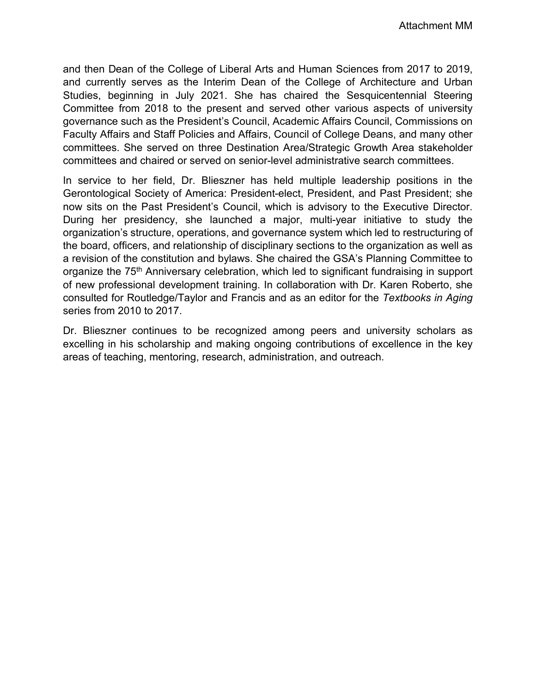and then Dean of the College of Liberal Arts and Human Sciences from 2017 to 2019, and currently serves as the Interim Dean of the College of Architecture and Urban Studies, beginning in July 2021. She has chaired the Sesquicentennial Steering Committee from 2018 to the present and served other various aspects of university governance such as the President's Council, Academic Affairs Council, Commissions on Faculty Affairs and Staff Policies and Affairs, Council of College Deans, and many other committees. She served on three Destination Area/Strategic Growth Area stakeholder committees and chaired or served on senior-level administrative search committees.

In service to her field, Dr. Blieszner has held multiple leadership positions in the Gerontological Society of America: President-elect, President, and Past President; she now sits on the Past President's Council, which is advisory to the Executive Director. During her presidency, she launched a major, multi-year initiative to study the organization's structure, operations, and governance system which led to restructuring of the board, officers, and relationship of disciplinary sections to the organization as well as a revision of the constitution and bylaws. She chaired the GSA's Planning Committee to organize the 75<sup>th</sup> Anniversary celebration, which led to significant fundraising in support of new professional development training. In collaboration with Dr. Karen Roberto, she consulted for Routledge/Taylor and Francis and as an editor for the *Textbooks in Aging*  series from 2010 to 2017.

Dr. Blieszner continues to be recognized among peers and university scholars as excelling in his scholarship and making ongoing contributions of excellence in the key areas of teaching, mentoring, research, administration, and outreach.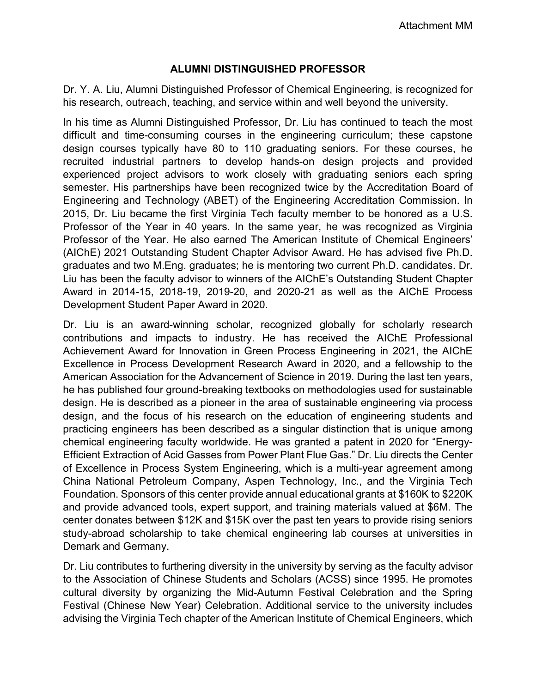## **ALUMNI DISTINGUISHED PROFESSOR**

Dr. Y. A. Liu, Alumni Distinguished Professor of Chemical Engineering, is recognized for his research, outreach, teaching, and service within and well beyond the university.

In his time as Alumni Distinguished Professor, Dr. Liu has continued to teach the most difficult and time-consuming courses in the engineering curriculum; these capstone design courses typically have 80 to 110 graduating seniors. For these courses, he recruited industrial partners to develop hands-on design projects and provided experienced project advisors to work closely with graduating seniors each spring semester. His partnerships have been recognized twice by the Accreditation Board of Engineering and Technology (ABET) of the Engineering Accreditation Commission. In 2015, Dr. Liu became the first Virginia Tech faculty member to be honored as a U.S. Professor of the Year in 40 years. In the same year, he was recognized as Virginia Professor of the Year. He also earned The American Institute of Chemical Engineers' (AIChE) 2021 Outstanding Student Chapter Advisor Award. He has advised five Ph.D. graduates and two M.Eng. graduates; he is mentoring two current Ph.D. candidates. Dr. Liu has been the faculty advisor to winners of the AIChE's Outstanding Student Chapter Award in 2014-15, 2018-19, 2019-20, and 2020-21 as well as the AIChE Process Development Student Paper Award in 2020.

Dr. Liu is an award-winning scholar, recognized globally for scholarly research contributions and impacts to industry. He has received the AIChE Professional Achievement Award for Innovation in Green Process Engineering in 2021, the AIChE Excellence in Process Development Research Award in 2020, and a fellowship to the American Association for the Advancement of Science in 2019. During the last ten years, he has published four ground-breaking textbooks on methodologies used for sustainable design. He is described as a pioneer in the area of sustainable engineering via process design, and the focus of his research on the education of engineering students and practicing engineers has been described as a singular distinction that is unique among chemical engineering faculty worldwide. He was granted a patent in 2020 for "Energy-Efficient Extraction of Acid Gasses from Power Plant Flue Gas." Dr. Liu directs the Center of Excellence in Process System Engineering, which is a multi-year agreement among China National Petroleum Company, Aspen Technology, Inc., and the Virginia Tech Foundation. Sponsors of this center provide annual educational grants at \$160K to \$220K and provide advanced tools, expert support, and training materials valued at \$6M. The center donates between \$12K and \$15K over the past ten years to provide rising seniors study-abroad scholarship to take chemical engineering lab courses at universities in Demark and Germany.

Dr. Liu contributes to furthering diversity in the university by serving as the faculty advisor to the Association of Chinese Students and Scholars (ACSS) since 1995. He promotes cultural diversity by organizing the Mid-Autumn Festival Celebration and the Spring Festival (Chinese New Year) Celebration. Additional service to the university includes advising the Virginia Tech chapter of the American Institute of Chemical Engineers, which